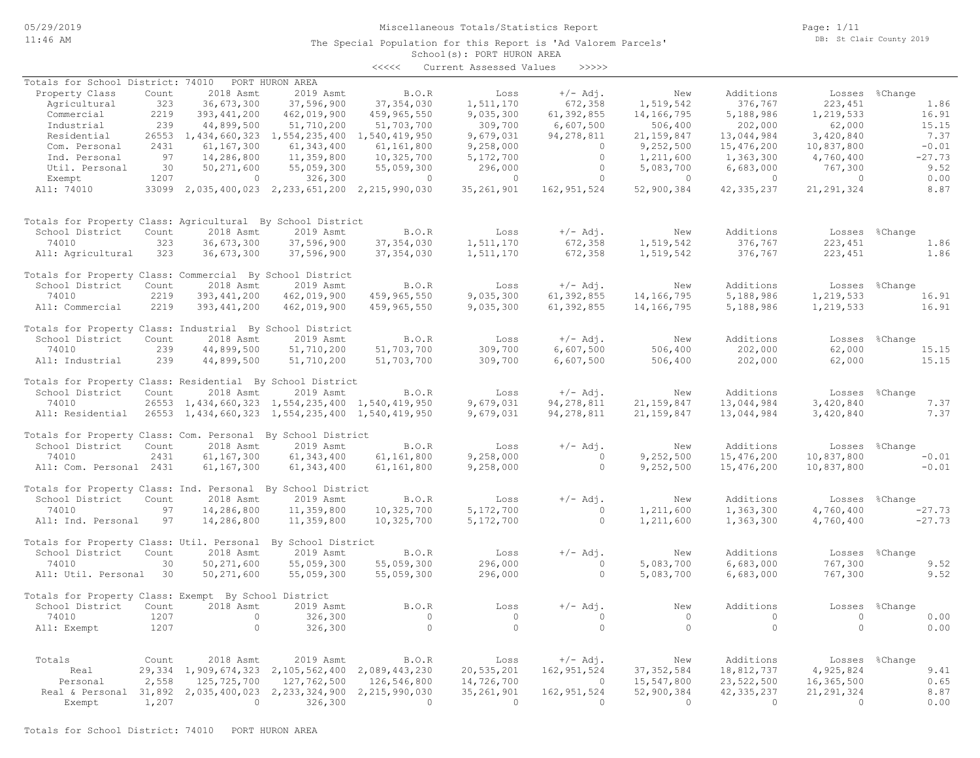### Miscellaneous Totals/Statistics Report

The Special Population for this Report is 'Ad Valorem Parcels'

Page: 1/11 DB: St Clair County 2019

### School(s): PORT HURON AREA <<<<< Current Assessed Values >>>>>

|                                                                  |       |                |                                                            |                | CULLENT ASSESSEU VALUES |                |                |                |                |                |
|------------------------------------------------------------------|-------|----------------|------------------------------------------------------------|----------------|-------------------------|----------------|----------------|----------------|----------------|----------------|
| Totals for School District: 74010                                |       |                | PORT HURON AREA                                            |                |                         |                |                |                |                |                |
| Property Class                                                   | Count | 2018 Asmt      | 2019 Asmt                                                  | <b>B.O.R</b>   | Loss                    | $+/-$ Adj.     | New            | Additions      | Losses %Change |                |
| Agricultural                                                     | 323   | 36,673,300     | 37,596,900                                                 | 37, 354, 030   | 1,511,170               | 672,358        | 1,519,542      | 376,767        | 223, 451       | 1.86           |
| Commercial                                                       | 2219  | 393, 441, 200  | 462,019,900                                                | 459,965,550    | 9,035,300               | 61,392,855     | 14,166,795     | 5,188,986      | 1,219,533      | 16.91          |
| Industrial                                                       | 239   | 44,899,500     | 51,710,200                                                 | 51,703,700     | 309,700                 | 6,607,500      | 506,400        | 202,000        | 62,000         | 15.15          |
| Residential                                                      |       |                | 26553 1,434,660,323 1,554,235,400 1,540,419,950            |                | 9,679,031               | 94, 278, 811   | 21, 159, 847   | 13,044,984     | 3,420,840      | 7.37           |
| Com. Personal                                                    | 2431  | 61,167,300     | 61,343,400                                                 | 61,161,800     | 9,258,000               | $\overline{0}$ | 9,252,500      | 15,476,200     | 10,837,800     | $-0.01$        |
| Ind. Personal                                                    | 97    | 14,286,800     | 11,359,800                                                 | 10,325,700     | 5,172,700               | $\circ$        | 1,211,600      | 1,363,300      | 4,760,400      | $-27.73$       |
| Util. Personal                                                   | 30    | 50,271,600     | 55,059,300                                                 | 55,059,300     | 296,000                 | $\circ$        | 5,083,700      | 6,683,000      | 767,300        | 9.52           |
| Exempt                                                           | 1207  | $\overline{0}$ | 326,300                                                    | $\sim$ 0       | $\overline{0}$          | $\overline{0}$ | $\sim$ 0       | $\sim$ 0       | $\sim$ 0       | 0.00           |
| All: 74010                                                       |       |                | 33099 2,035,400,023 2,233,651,200 2,215,990,030            |                | 35, 261, 901            | 162, 951, 524  | 52,900,384     | 42, 335, 237   | 21, 291, 324   | 8.87           |
|                                                                  |       |                |                                                            |                |                         |                |                |                |                |                |
| Totals for Property Class: Agricultural By School District       |       |                |                                                            |                |                         |                |                |                |                |                |
| School District                                                  | Count | 2018 Asmt      | 2019 Asmt                                                  | B.O.R          | Loss                    | $+/-$ Adj.     | New            | Additions      |                | Losses %Change |
| 74010                                                            | 323   | 36,673,300     | 37,596,900                                                 | 37, 354, 030   | 1,511,170               | 672,358        | 1,519,542      | 376,767        | 223, 451       | 1.86           |
| All: Agricultural                                                | 323   | 36,673,300     | 37,596,900                                                 | 37, 354, 030   | 1,511,170               | 672,358        | 1,519,542      | 376,767        | 223,451        | 1.86           |
|                                                                  |       |                |                                                            |                |                         |                |                |                |                |                |
| Totals for Property Class: Commercial By School District         |       |                |                                                            |                |                         |                |                |                |                |                |
| School District                                                  | Count | 2018 Asmt      | 2019 Asmt                                                  | <b>B.O.R</b>   | Loss                    | $+/-$ Adj.     | New            | Additions      |                | Losses %Change |
| 74010                                                            | 2219  | 393, 441, 200  | 462,019,900                                                | 459,965,550    | 9,035,300               | 61,392,855     | 14,166,795     | 5,188,986      | 1,219,533      | 16.91          |
| All: Commercial                                                  | 2219  | 393, 441, 200  | 462,019,900                                                | 459,965,550    | 9,035,300               | 61,392,855     | 14,166,795     | 5,188,986      | 1,219,533      | 16.91          |
| Totals for Property Class: Industrial By School District         |       |                |                                                            |                |                         |                |                |                |                |                |
| School District                                                  | Count | 2018 Asmt      | 2019 Asmt                                                  | B.O.R          | Loss                    | $+/-$ Adj.     | New            | Additions      |                | Losses %Change |
| 74010                                                            | 239   | 44,899,500     | 51,710,200                                                 | 51,703,700     | 309,700                 | 6,607,500      | 506,400        | 202,000        | 62,000         | 15.15          |
| All: Industrial                                                  | 239   | 44,899,500     | 51,710,200                                                 | 51,703,700     | 309,700                 | 6,607,500      | 506,400        | 202,000        | 62,000         | 15.15          |
| Totals for Property Class: Residential By School District        |       |                |                                                            |                |                         |                |                |                |                |                |
| School District                                                  | Count | 2018 Asmt      | 2019 Asmt                                                  | B.O.R          | Loss                    | $+/-$ Adj.     | New            | Additions      | Losses %Change |                |
| 74010                                                            |       |                | 26553 1,434,660,323 1,554,235,400 1,540,419,950            |                | 9,679,031               | 94, 278, 811   | 21, 159, 847   | 13,044,984     | 3,420,840      | 7.37           |
| All: Residential 26553 1,434,660,323 1,554,235,400 1,540,419,950 |       |                |                                                            |                | 9,679,031               | 94, 278, 811   | 21, 159, 847   | 13,044,984     | 3,420,840      | 7.37           |
|                                                                  |       |                |                                                            |                |                         |                |                |                |                |                |
| Totals for Property Class: Com. Personal By School District      |       |                |                                                            |                |                         |                |                |                |                |                |
| School District                                                  | Count | 2018 Asmt      | 2019 Asmt                                                  | B.O.R          | Loss                    | $+/-$ Adj.     | New            | Additions      |                | Losses %Change |
| 74010                                                            | 2431  | 61,167,300     | 61, 343, 400                                               | 61,161,800     | 9,258,000               | $\overline{0}$ | 9,252,500      | 15,476,200     | 10,837,800     | $-0.01$        |
| All: Com. Personal 2431                                          |       | 61,167,300     | 61, 343, 400                                               | 61,161,800     | 9,258,000               | $\bigcirc$     | 9,252,500      | 15,476,200     | 10,837,800     | $-0.01$        |
| Totals for Property Class: Ind. Personal By School District      |       |                |                                                            |                |                         |                |                |                |                |                |
| School District                                                  | Count | 2018 Asmt      | 2019 Asmt                                                  | <b>B.O.R</b>   | Loss                    | $+/-$ Adj.     | New            | Additions      |                | Losses %Change |
| 74010                                                            | 97    | 14,286,800     | 11,359,800                                                 | 10,325,700     | 5,172,700               | $\overline{0}$ | 1,211,600      | 1,363,300      | 4,760,400      | $-27.73$       |
| All: Ind. Personal                                               | 97    | 14,286,800     | 11,359,800                                                 | 10,325,700     | 5,172,700               | $\overline{0}$ | 1,211,600      | 1,363,300      | 4,760,400      | $-27.73$       |
| Totals for Property Class: Util. Personal By School District     |       |                |                                                            |                |                         |                |                |                |                |                |
| School District                                                  | Count | 2018 Asmt      | 2019 Asmt                                                  | B.O.R          | Loss                    | $+/-$ Adj.     | New            | Additions      |                | Losses %Change |
| 74010                                                            | 30    | 50,271,600     | 55,059,300                                                 | 55,059,300     | 296,000                 | $\overline{0}$ | 5,083,700      | 6,683,000      | 767,300        | 9.52           |
| All: Util. Personal 30                                           |       | 50, 271, 600   | 55,059,300                                                 | 55,059,300     | 296,000                 | $\Omega$       | 5,083,700      | 6,683,000      | 767,300        | 9.52           |
|                                                                  |       |                |                                                            |                |                         |                |                |                |                |                |
| Totals for Property Class: Exempt By School District             |       |                |                                                            |                |                         |                |                |                |                |                |
| School District                                                  | Count | 2018 Asmt      | 2019 Asmt                                                  | B.O.R          | Loss                    | $+/-$ Adj.     | New            | Additions      | Losses         | %Change        |
| 74010                                                            | 1207  | $\bigcirc$     | 326,300                                                    | $\overline{0}$ | $\overline{0}$          | $\circ$        | $\overline{0}$ | $\overline{0}$ | $\overline{0}$ | 0.00           |
| All: Exempt                                                      | 1207  | $\circ$        | 326,300                                                    | $\circ$        | $\circ$                 | $\circ$        | $\bigcirc$     | $\circ$        | $\circ$        | 0.00           |
|                                                                  |       |                |                                                            |                |                         |                |                |                |                |                |
| Totals                                                           | Count | 2018 Asmt      | 2019 Asmt                                                  | B.O.R          | Loss                    | $+/-$ Adj.     | New            | Additions      |                | Losses %Change |
| Real                                                             |       |                | 29, 334 1, 909, 674, 323 2, 105, 562, 400 2, 089, 443, 230 |                | 20,535,201              | 162, 951, 524  | 37, 352, 584   | 18,812,737     | 4,925,824      | 9.41           |
| Personal                                                         | 2,558 | 125,725,700    | 127,762,500                                                | 126,546,800    | 14,726,700              | $\bigcirc$     | 15,547,800     | 23,522,500     | 16,365,500     | 0.65           |
| Real & Personal 31,892                                           |       | 2,035,400,023  | 2, 233, 324, 900                                           | 2,215,990,030  | 35, 261, 901            | 162,951,524    | 52,900,384     | 42, 335, 237   | 21, 291, 324   | 8.87           |
| Exempt                                                           | 1,207 | $\overline{0}$ | 326,300                                                    | $\overline{0}$ | $\overline{a}$          | $\Omega$       | $\Omega$       | $\Omega$       | $\overline{0}$ | 0.00           |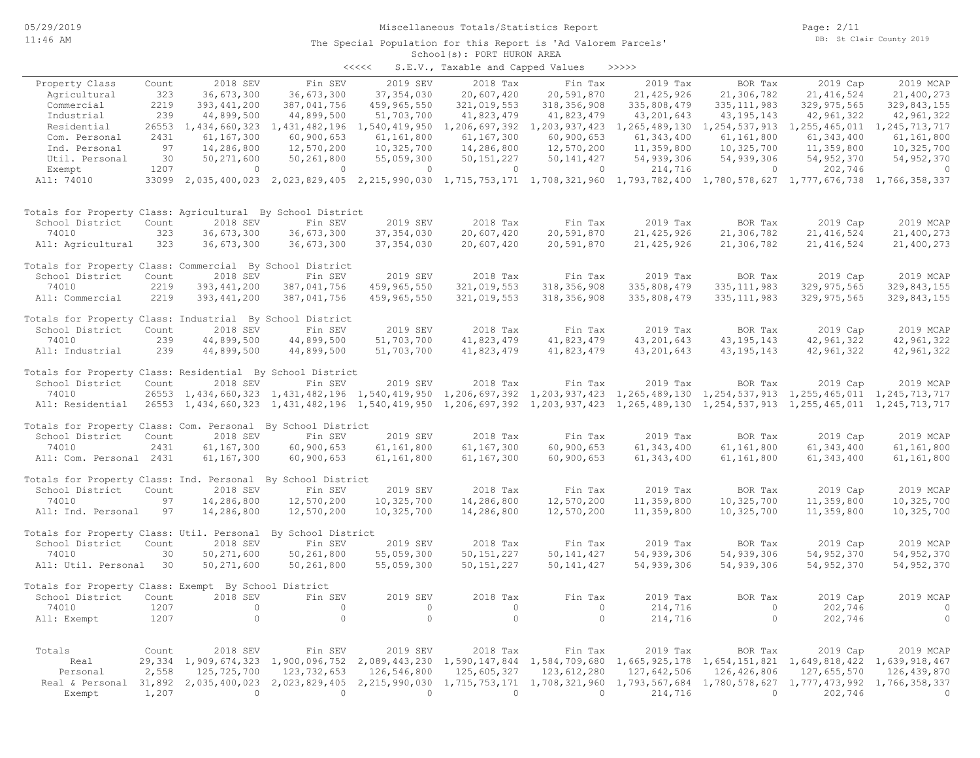#### School(s): PORT HURON AREA The Special Population for this Report is 'Ad Valorem Parcels'

|       | $0.0001000 \pm 0.001$ . To $0.010000$ in the set |                                   |        |
|-------|--------------------------------------------------|-----------------------------------|--------|
| くくくくく |                                                  | S.E.V., Taxable and Capped Values | >>>>>> |

|                                                              |        |                     |                                                     |                | and capped    |                                   |               |                                   |                                                                                                                                     |                  |
|--------------------------------------------------------------|--------|---------------------|-----------------------------------------------------|----------------|---------------|-----------------------------------|---------------|-----------------------------------|-------------------------------------------------------------------------------------------------------------------------------------|------------------|
| Property Class                                               | Count  | 2018 SEV            | Fin SEV                                             | 2019 SEV       | 2018 Tax      | Fin Tax                           | 2019 Tax      | BOR Tax                           | 2019 Cap                                                                                                                            | 2019 MCAP        |
| Agricultural                                                 | 323    | 36,673,300          | 36,673,300                                          | 37, 354, 030   | 20,607,420    | 20,591,870                        | 21, 425, 926  | 21,306,782                        | 21, 416, 524                                                                                                                        | 21,400,273       |
| Commercial                                                   | 2219   | 393, 441, 200       | 387,041,756                                         | 459,965,550    | 321,019,553   | 318, 356, 908                     | 335,808,479   | 335, 111, 983                     | 329, 975, 565                                                                                                                       | 329,843,155      |
| Industrial                                                   | 239    | 44,899,500          | 44,899,500                                          | 51,703,700     | 41,823,479    | 41,823,479                        | 43, 201, 643  | 43, 195, 143                      | 42,961,322                                                                                                                          | 42,961,322       |
| Residential                                                  |        | 26553 1,434,660,323 | 1,431,482,196                                       | 1,540,419,950  | 1,206,697,392 | 1,203,937,423 1,265,489,130       |               | 1,254,537,913                     | 1,255,465,011                                                                                                                       | 1, 245, 713, 717 |
| Com. Personal                                                | 2431   | 61,167,300          | 60,900,653                                          | 61,161,800     | 61,167,300    | 60,900,653                        | 61, 343, 400  | 61, 161, 800                      | 61, 343, 400                                                                                                                        | 61,161,800       |
| Ind. Personal                                                | 97     | 14,286,800          | 12,570,200                                          | 10,325,700     | 14,286,800    | 12,570,200                        | 11,359,800    | 10,325,700                        | 11,359,800                                                                                                                          | 10,325,700       |
| Util. Personal                                               | 30     | 50,271,600          | 50,261,800                                          | 55,059,300     | 50, 151, 227  | 50, 141, 427                      | 54,939,306    | 54,939,306                        | 54, 952, 370                                                                                                                        | 54, 952, 370     |
| Exempt                                                       | 1207   | $\circ$             | $\circ$                                             | $\mathbf{0}$   | $\circ$       | $\circ$                           | 214,716       | 0                                 | 202,746                                                                                                                             | $\circ$          |
| All: 74010                                                   |        |                     |                                                     |                |               |                                   |               |                                   | 33099 2,035,400,023 2,023,829,405 2,215,990,030 1,715,753,171 1,708,321,960 1,793,782,400 1,780,578,627 1,777,676,738 1,766,358,337 |                  |
| Totals for Property Class: Agricultural By School District   |        |                     |                                                     |                |               |                                   |               |                                   |                                                                                                                                     |                  |
| School District                                              | Count  | 2018 SEV            | Fin SEV                                             | 2019 SEV       | 2018 Tax      | Fin Tax                           | 2019 Tax      | BOR Tax                           | 2019 Cap                                                                                                                            | 2019 MCAP        |
| 74010                                                        | 323    | 36,673,300          | 36,673,300                                          | 37, 354, 030   | 20,607,420    | 20,591,870                        | 21, 425, 926  | 21,306,782                        | 21, 416, 524                                                                                                                        | 21,400,273       |
| All: Agricultural                                            | 323    | 36,673,300          | 36,673,300                                          | 37, 354, 030   | 20,607,420    | 20,591,870                        | 21, 425, 926  | 21,306,782                        | 21, 416, 524                                                                                                                        | 21,400,273       |
| Totals for Property Class: Commercial By School District     |        |                     |                                                     |                |               |                                   |               |                                   |                                                                                                                                     |                  |
| School District                                              | Count  | 2018 SEV            | Fin SEV                                             | 2019 SEV       | 2018 Tax      | Fin Tax                           | 2019 Tax      | BOR Tax                           | 2019 Cap                                                                                                                            | 2019 MCAP        |
| 74010                                                        | 2219   | 393, 441, 200       | 387,041,756                                         | 459,965,550    | 321,019,553   | 318, 356, 908                     | 335,808,479   | 335, 111, 983                     | 329, 975, 565                                                                                                                       | 329,843,155      |
| All: Commercial                                              | 2219   | 393, 441, 200       | 387,041,756                                         | 459,965,550    | 321,019,553   | 318,356,908                       | 335,808,479   | 335, 111, 983                     | 329, 975, 565                                                                                                                       | 329,843,155      |
| Totals for Property Class: Industrial By School District     |        |                     |                                                     |                |               |                                   |               |                                   |                                                                                                                                     |                  |
| School District                                              | Count  | 2018 SEV            | Fin SEV                                             | 2019 SEV       | 2018 Tax      | Fin Tax                           | 2019 Tax      | BOR Tax                           | 2019 Cap                                                                                                                            | 2019 MCAP        |
| 74010                                                        | 239    | 44,899,500          | 44,899,500                                          | 51,703,700     | 41,823,479    | 41,823,479                        | 43, 201, 643  | 43, 195, 143                      | 42,961,322                                                                                                                          | 42,961,322       |
| All: Industrial                                              | 239    | 44,899,500          | 44,899,500                                          | 51,703,700     | 41,823,479    | 41,823,479                        | 43, 201, 643  | 43, 195, 143                      | 42,961,322                                                                                                                          | 42,961,322       |
| Totals for Property Class: Residential By School District    |        |                     |                                                     |                |               |                                   |               |                                   |                                                                                                                                     |                  |
| School District                                              | Count  | 2018 SEV            | Fin SEV                                             | 2019 SEV       | 2018 Tax      | Fin Tax                           | 2019 Tax      | BOR Tax                           | 2019 Cap                                                                                                                            | 2019 MCAP        |
| 74010                                                        |        |                     | 26553 1,434,660,323 1,431,482,196 1,540,419,950     |                | 1,206,697,392 | 1, 203, 937, 423 1, 265, 489, 130 |               | 1, 254, 537, 913 1, 255, 465, 011 |                                                                                                                                     | 1,245,713,717    |
| All: Residential                                             |        |                     |                                                     |                |               |                                   |               |                                   | 26553 1,434,660,323 1,431,482,196 1,540,419,950 1,206,697,392 1,203,937,423 1,265,489,130 1,254,537,913 1,255,465,011 1,245,713,717 |                  |
| Totals for Property Class: Com. Personal By School District  |        |                     |                                                     |                |               |                                   |               |                                   |                                                                                                                                     |                  |
| School District                                              | Count  | 2018 SEV            | Fin SEV                                             | 2019 SEV       | 2018 Tax      | Fin Tax                           | 2019 Tax      | BOR Tax                           | 2019 Cap                                                                                                                            | 2019 MCAP        |
| 74010                                                        | 2431   | 61, 167, 300        | 60,900,653                                          | 61,161,800     | 61,167,300    | 60,900,653                        | 61, 343, 400  | 61,161,800                        | 61, 343, 400                                                                                                                        | 61,161,800       |
| All: Com. Personal 2431                                      |        | 61,167,300          | 60,900,653                                          | 61,161,800     | 61,167,300    | 60,900,653                        | 61, 343, 400  | 61,161,800                        | 61, 343, 400                                                                                                                        | 61,161,800       |
| Totals for Property Class: Ind. Personal By School District  |        |                     |                                                     |                |               |                                   |               |                                   |                                                                                                                                     |                  |
| School District                                              | Count  | 2018 SEV            | Fin SEV                                             | 2019 SEV       | 2018 Tax      | Fin Tax                           | 2019 Tax      | BOR Tax                           | 2019 Cap                                                                                                                            | 2019 MCAP        |
| 74010                                                        | 97     | 14,286,800          | 12,570,200                                          | 10,325,700     | 14,286,800    | 12,570,200                        | 11,359,800    | 10,325,700                        | 11,359,800                                                                                                                          | 10,325,700       |
| All: Ind. Personal                                           | 97     | 14,286,800          | 12,570,200                                          | 10,325,700     | 14,286,800    | 12,570,200                        | 11,359,800    | 10,325,700                        | 11,359,800                                                                                                                          | 10,325,700       |
| Totals for Property Class: Util. Personal By School District |        |                     |                                                     |                |               |                                   |               |                                   |                                                                                                                                     |                  |
| School District                                              | Count  | 2018 SEV            | Fin SEV                                             | 2019 SEV       | 2018 Tax      | Fin Tax                           | 2019 Tax      | BOR Tax                           | 2019 Cap                                                                                                                            | 2019 MCAP        |
| 74010                                                        | 30     | 50,271,600          | 50,261,800                                          | 55,059,300     | 50, 151, 227  | 50, 141, 427                      | 54,939,306    | 54,939,306                        | 54,952,370                                                                                                                          | 54,952,370       |
| All: Util. Personal                                          | 30     | 50,271,600          | 50,261,800                                          | 55,059,300     | 50, 151, 227  | 50, 141, 427                      | 54,939,306    | 54,939,306                        | 54, 952, 370                                                                                                                        | 54,952,370       |
| Totals for Property Class: Exempt By School District         |        |                     |                                                     |                |               |                                   |               |                                   |                                                                                                                                     |                  |
| School District                                              | Count  | 2018 SEV            | Fin SEV                                             | 2019 SEV       | 2018 Tax      | Fin Tax                           | 2019 Tax      | BOR Tax                           | 2019 Cap                                                                                                                            | 2019 MCAP        |
| 74010                                                        | 1207   | $\circ$             | $\circ$                                             | $\circ$        | $\circ$       | $\circ$                           | 214,716       | $\circ$                           | 202,746                                                                                                                             | $\circ$          |
| All: Exempt                                                  | 1207   | $\circ$             | $\circ$                                             | $\overline{0}$ | $\circ$       | $\circ$                           | 214,716       | $\circ$                           | 202,746                                                                                                                             | $\circ$          |
| Totals                                                       | Count  | 2018 SEV            | Fin SEV                                             | 2019 SEV       | 2018 Tax      | Fin Tax                           | 2019 Tax      | BOR Tax                           | 2019 Cap                                                                                                                            | 2019 MCAP        |
| Real                                                         | 29,334 |                     | 1,909,674,323 1,900,096,752                         | 2,089,443,230  |               | 1,590,147,844 1,584,709,680       |               |                                   | 1,665,925,178  1,654,151,821  1,649,818,422  1,639,918,467                                                                          |                  |
| Personal                                                     | 2,558  | 125,725,700         | 123, 732, 653                                       | 126,546,800    | 125,605,327   | 123,612,280                       | 127,642,506   | 126,426,806                       | 127,655,570                                                                                                                         | 126, 439, 870    |
| Real & Personal                                              |        |                     | 31,892  2,035,400,023  2,023,829,405  2,215,990,030 |                |               | 1,715,753,171 1,708,321,960       | 1,793,567,684 | 1,780,578,627                     | 1,777,473,992                                                                                                                       | 1,766,358,337    |
| Exempt                                                       | 1,207  | $\Omega$            | $\Omega$                                            | $\Omega$       | $\Omega$      | $\Omega$                          | 214,716       | $\circ$                           | 202,746                                                                                                                             | $\circ$          |
|                                                              |        |                     |                                                     |                |               |                                   |               |                                   |                                                                                                                                     |                  |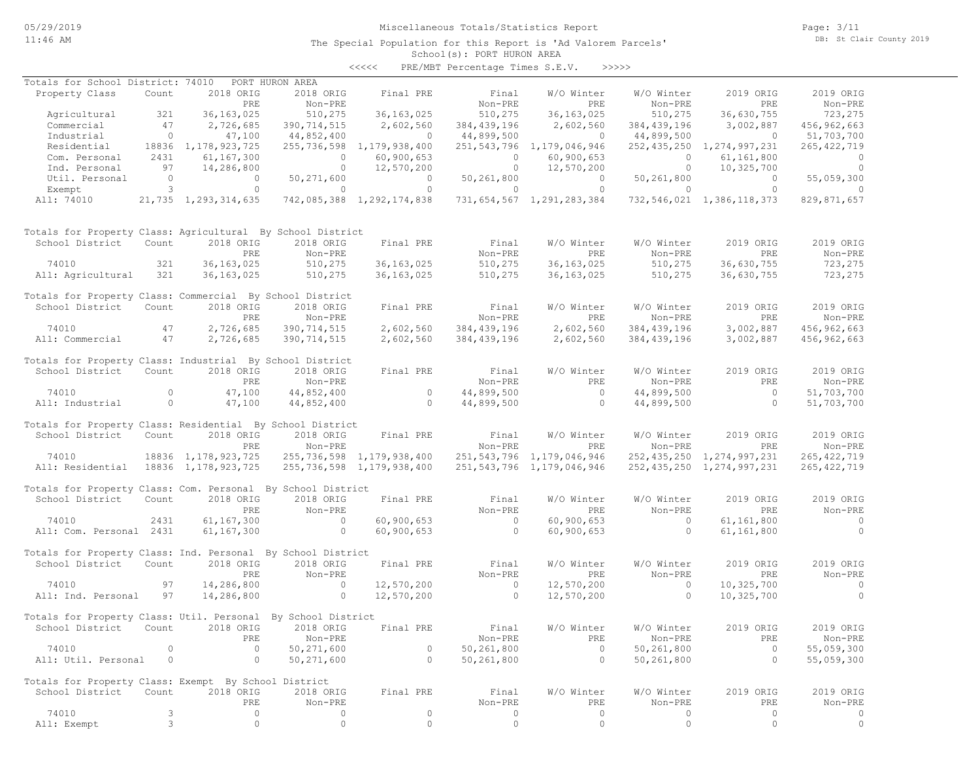# Miscellaneous Totals/Statistics Report

Page: 3/11 DB: St Clair County 2019

#### School(s): PORT HURON AREA The Special Population for this Report is 'Ad Valorem Parcels'

| くくくくく | PRE/MBT Percentage Times S.E.V. |  |  | >>>>> |
|-------|---------------------------------|--|--|-------|
|-------|---------------------------------|--|--|-------|

| Totals for School District: 74010                            |                |                        | PORT HURON AREA |                           |                |                                |               |                                |                |
|--------------------------------------------------------------|----------------|------------------------|-----------------|---------------------------|----------------|--------------------------------|---------------|--------------------------------|----------------|
| Property Class                                               | Count          | 2018 ORIG              | 2018 ORIG       | Final PRE                 | Final          | W/O Winter                     | W/O Winter    | 2019 ORIG                      | 2019 ORIG      |
|                                                              |                | PRE                    | Non-PRE         |                           | Non-PRE        | PRE                            | Non-PRE       | PRE                            | Non-PRE        |
| Agricultural                                                 | 321            | 36, 163, 025           | 510,275         | 36, 163, 025              | 510,275        | 36, 163, 025                   | 510,275       | 36,630,755                     | 723,275        |
| Commercial                                                   | 47             | 2,726,685              | 390, 714, 515   | 2,602,560                 | 384, 439, 196  | 2,602,560                      | 384, 439, 196 | 3,002,887                      | 456,962,663    |
| Industrial                                                   | $\circ$        | 47,100                 | 44,852,400      | $\bigcirc$                | 44,899,500     | $\Omega$                       | 44,899,500    | $\circ$                        | 51,703,700     |
| Residential                                                  |                | 18836 1, 178, 923, 725 | 255,736,598     | 1,179,938,400             |                | 251, 543, 796 1, 179, 046, 946 |               | 252, 435, 250 1, 274, 997, 231 | 265, 422, 719  |
| Com. Personal                                                | 2431           | 61, 167, 300           | $\circ$         | 60,900,653                | $\circ$        | 60,900,653                     | $\circ$       | 61,161,800                     | $\overline{0}$ |
|                                                              | 97             |                        | $\circ$         | 12,570,200                | $\circ$        |                                | $\circ$       |                                | $\circ$        |
| Ind. Personal                                                |                | 14,286,800             |                 |                           |                | 12,570,200                     |               | 10,325,700                     |                |
| Util. Personal                                               | $\overline{0}$ | $\circ$                | 50,271,600      | $\sim$ 0                  | 50,261,800     | $\circ$                        | 50,261,800    | $\overline{0}$                 | 55,059,300     |
| Exempt                                                       | 3              | $\circ$                | $\circ$         | $\circ$                   | $\circ$        | $\circ$                        | $\circ$       | $\circ$                        | $\circ$        |
| All: 74010                                                   |                | 21,735 1,293,314,635   |                 | 742,085,388 1,292,174,838 |                | 731,654,567 1,291,283,384      |               | 732, 546, 021 1, 386, 118, 373 | 829,871,657    |
| Totals for Property Class: Agricultural By School District   |                |                        |                 |                           |                |                                |               |                                |                |
| School District                                              | Count          | 2018 ORIG              | 2018 ORIG       | Final PRE                 | Final          | W/O Winter                     | W/O Winter    | 2019 ORIG                      | 2019 ORIG      |
|                                                              |                | PRE                    | Non-PRE         |                           | Non-PRE        | PRE                            | Non-PRE       | PRE                            | Non-PRE        |
| 74010                                                        | 321            | 36, 163, 025           | 510,275         | 36, 163, 025              | 510,275        | 36, 163, 025                   | 510,275       | 36,630,755                     | 723,275        |
| All: Agricultural                                            | 321            | 36, 163, 025           | 510,275         | 36, 163, 025              | 510,275        | 36, 163, 025                   | 510,275       | 36,630,755                     | 723,275        |
| Totals for Property Class: Commercial By School District     |                |                        |                 |                           |                |                                |               |                                |                |
| School District                                              | Count          | 2018 ORIG              | 2018 ORIG       | Final PRE                 | Final          | W/O Winter                     | W/O Winter    | 2019 ORIG                      | 2019 ORIG      |
|                                                              |                | PRE                    | Non-PRE         |                           | Non-PRE        | PRE                            | Non-PRE       | PRE                            | Non-PRE        |
| 74010                                                        | 47             | 2,726,685              | 390,714,515     | 2,602,560                 | 384, 439, 196  | 2,602,560                      | 384, 439, 196 | 3,002,887                      | 456,962,663    |
|                                                              | 47             |                        | 390,714,515     |                           |                | 2,602,560                      |               | 3,002,887                      |                |
| All: Commercial                                              |                | 2,726,685              |                 | 2,602,560                 | 384, 439, 196  |                                | 384, 439, 196 |                                | 456,962,663    |
| Totals for Property Class: Industrial By School District     |                |                        |                 |                           |                |                                |               |                                |                |
| School District                                              | Count          | 2018 ORIG              | 2018 ORIG       | Final PRE                 | Final          | W/O Winter                     | W/O Winter    | 2019 ORIG                      | 2019 ORIG      |
|                                                              |                | PRE                    | Non-PRE         |                           | Non-PRE        | PRE                            | Non-PRE       | PRE                            | Non-PRE        |
| 74010                                                        | $\circ$        | 47,100                 | 44,852,400      | $\overline{0}$            | 44,899,500     | $\overline{0}$                 | 44,899,500    | $\overline{0}$                 | 51,703,700     |
| All: Industrial                                              | $\circ$        | 47,100                 | 44,852,400      | $\circ$                   | 44,899,500     | $\overline{0}$                 | 44,899,500    | $\circ$                        | 51,703,700     |
|                                                              |                |                        |                 |                           |                |                                |               |                                |                |
| Totals for Property Class: Residential By School District    |                |                        |                 |                           |                |                                |               |                                |                |
| School District                                              | Count          | 2018 ORIG              | 2018 ORIG       | Final PRE                 | Final          | W/O Winter                     | W/O Winter    | 2019 ORIG                      | 2019 ORIG      |
|                                                              |                | PRE                    | Non-PRE         |                           | Non-PRE        | PRE                            | Non-PRE       | PRE                            | Non-PRE        |
| 74010                                                        |                | 18836 1, 178, 923, 725 |                 | 255,736,598 1,179,938,400 |                | 251, 543, 796 1, 179, 046, 946 |               | 252, 435, 250 1, 274, 997, 231 | 265, 422, 719  |
| All: Residential                                             |                | 18836 1,178,923,725    |                 | 255,736,598 1,179,938,400 |                | 251, 543, 796 1, 179, 046, 946 |               | 252, 435, 250 1, 274, 997, 231 | 265, 422, 719  |
|                                                              |                |                        |                 |                           |                |                                |               |                                |                |
| Totals for Property Class: Com. Personal By School District  |                |                        |                 |                           |                |                                |               |                                |                |
| School District                                              | Count          | 2018 ORIG              | 2018 ORIG       | Final PRE                 | Final          | W/O Winter                     | W/O Winter    | 2019 ORIG                      | 2019 ORIG      |
|                                                              |                | PRE                    | Non-PRE         |                           | Non-PRE        | PRE                            | Non-PRE       | PRE                            | Non-PRE        |
| 74010                                                        | 2431           | 61, 167, 300           | $\circ$         | 60,900,653                | $\overline{0}$ | 60,900,653                     | $\circ$       | 61,161,800                     | $\overline{0}$ |
| All: Com. Personal 2431                                      |                | 61, 167, 300           | $\circ$         | 60,900,653                | $\Omega$       | 60,900,653                     | $\circ$       | 61,161,800                     | $\Omega$       |
| Totals for Property Class: Ind. Personal By School District  |                |                        |                 |                           |                |                                |               |                                |                |
| School District                                              | Count          | 2018 ORIG              | 2018 ORIG       | Final PRE                 | Final          | W/O Winter                     | W/O Winter    | 2019 ORIG                      | 2019 ORIG      |
|                                                              |                |                        |                 |                           |                |                                |               |                                |                |
|                                                              |                | PRE                    | Non-PRE         |                           | Non-PRE        | PRE                            | Non-PRE       | PRE                            | Non-PRE        |
| 74010                                                        | 97             | 14,286,800             | $\circ$         | 12,570,200                | $\circ$        | 12,570,200                     | $\circ$       | 10,325,700                     | $\circ$        |
| All: Ind. Personal                                           | 97             | 14,286,800             | $\circ$         | 12,570,200                | $\circ$        | 12,570,200                     | $\circ$       | 10,325,700                     | $\overline{0}$ |
| Totals for Property Class: Util. Personal By School District |                |                        |                 |                           |                |                                |               |                                |                |
| School District                                              | Count          | 2018 ORIG              | 2018 ORIG       | Final PRE                 | Final          | W/O Winter                     | W/O Winter    | 2019 ORIG                      | 2019 ORIG      |
|                                                              |                |                        |                 |                           |                |                                |               |                                |                |
|                                                              |                | PRE                    | Non-PRE         |                           | Non-PRE        | PRE                            | Non-PRE       | PRE                            | Non-PRE        |
| 74010                                                        | 0              | $\circ$                | 50,271,600      | 0                         | 50,261,800     | $\circ$                        | 50,261,800    | $\circ$                        | 55,059,300     |
| All: Util. Personal                                          | 0              | $\circ$                | 50,271,600      | $\Omega$                  | 50,261,800     | 0                              | 50,261,800    | $\circ$                        | 55,059,300     |
| Totals for Property Class: Exempt By School District         |                |                        |                 |                           |                |                                |               |                                |                |
| School District                                              | Count          | 2018 ORIG              | 2018 ORIG       | Final PRE                 | Final          | W/O Winter                     | W/O Winter    | 2019 ORIG                      | 2019 ORIG      |
|                                                              |                | PRE                    | Non-PRE         |                           | Non-PRE        | PRE                            | Non-PRE       | PRE                            | Non-PRE        |
| 74010                                                        | 3              | $\circ$                | 0               | $\circ$                   | 0              | 0                              | 0             | $\circ$                        | 0              |
|                                                              | 3              | $\circ$                | $\circ$         | $\circ$                   | $\circ$        | $\circ$                        | $\circ$       | $\mathbb O$                    | $\circ$        |
| All: Exempt                                                  |                |                        |                 |                           |                |                                |               |                                |                |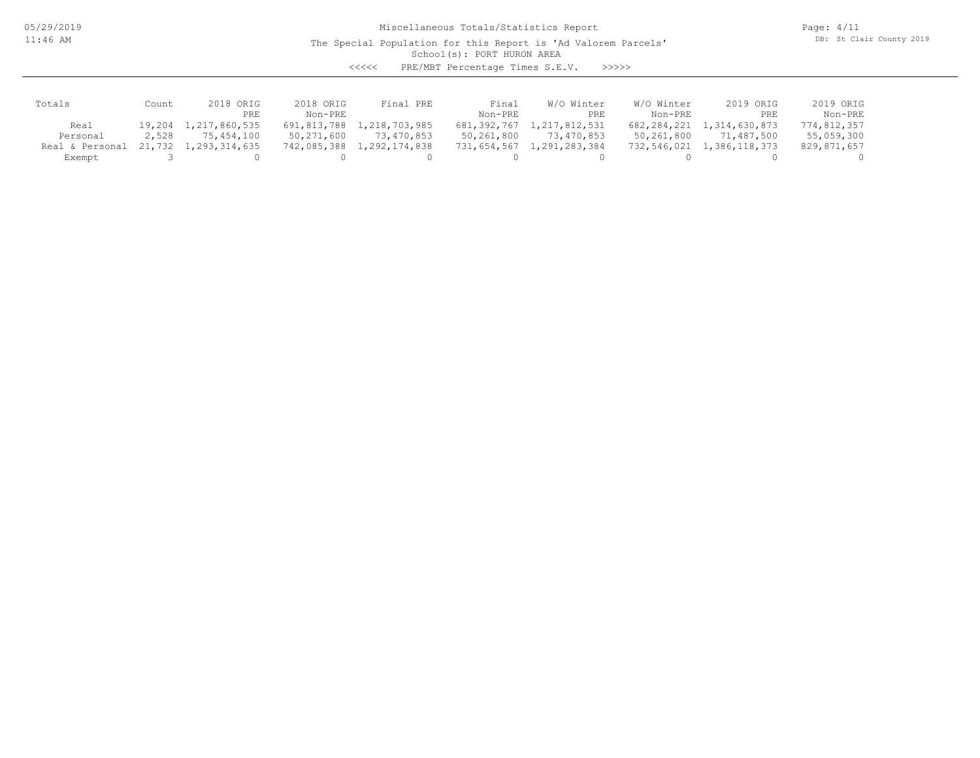05/29/2019 11:46 AM

Miscellaneous Totals/Statistics Report

Page: 4/11 DB: St Clair County 2019

### School(s): PORT HURON AREA The Special Population for this Report is 'Ad Valorem Parcels'

<<<<< PRE/MBT Percentage Times S.E.V. >>>>>

| Totals          | Count    | 2018 ORIG     | 2018 ORIG     | Final PRE     | Final       | W/O Winter    | W/O Winter  | 2019 ORIG     | 2019 ORIG   |
|-----------------|----------|---------------|---------------|---------------|-------------|---------------|-------------|---------------|-------------|
|                 |          | PRE           | Non-PRE       |               | Non-PRE     | PRE           | Non-PRE     | PRE           | Non-PRE     |
| Real            | 19,204 1 | 1,217,860,535 | 691,813,788 1 | 1,218,703,985 | 681,392,767 | 1,217,812,531 | 682,284,221 | 1,314,630,873 | 774,812,357 |
| Personal        | 2,528    | 75,454,100    | 50,271,600    | 73,470,853    | 50,261,800  | 73,470,853    | 50,261,800  | 71,487,500    | 55,059,300  |
| Real & Personal | 21,732 1 | 1,293,314,635 | 742,085,388   | 1,292,174,838 | 731,654,567 | 1,291,283,384 | 732,546,021 | 1,386,118,373 | 829,871,657 |
| Exempt          |          |               |               |               |             |               |             |               |             |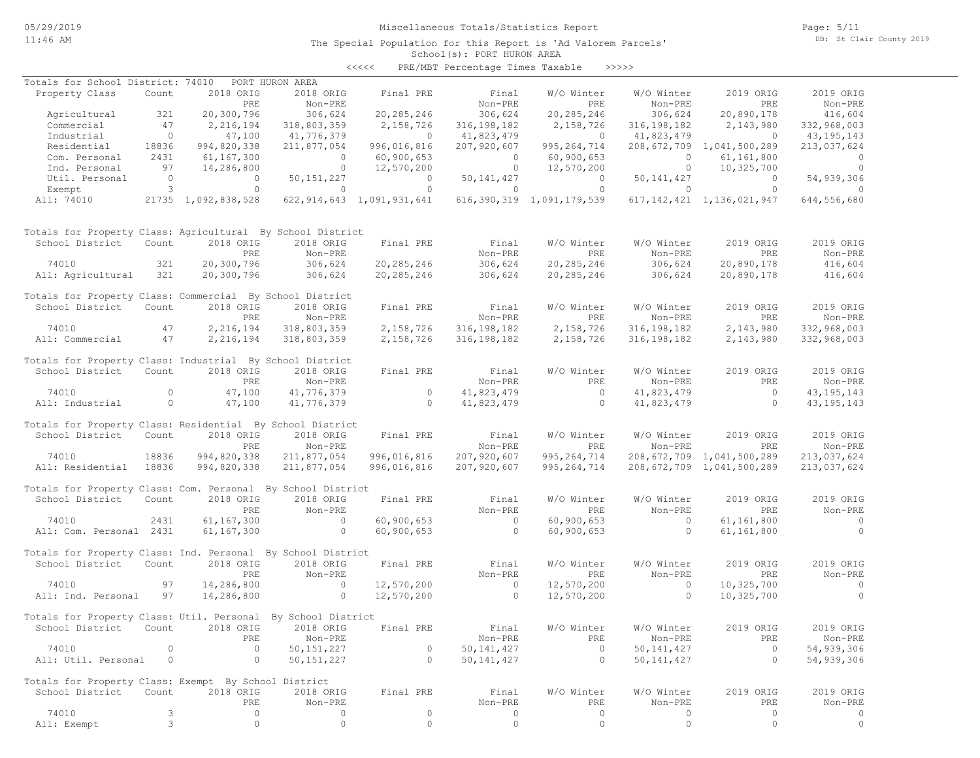# Miscellaneous Totals/Statistics Report

Page: 5/11 DB: St Clair County 2019

#### School(s): PORT HURON AREA The Special Population for this Report is 'Ad Valorem Parcels'

| <<<< | PRE/MBT Percentage Times Taxable |  |  | >>>>> |
|------|----------------------------------|--|--|-------|
|------|----------------------------------|--|--|-------|

| Totals for School District: 74010 PORT HURON AREA            |                                       |                     |                    |                           |                           |                           |                    |                                |                      |
|--------------------------------------------------------------|---------------------------------------|---------------------|--------------------|---------------------------|---------------------------|---------------------------|--------------------|--------------------------------|----------------------|
| Property Class                                               | Count                                 | 2018 ORIG           | 2018 ORIG          | Final PRE                 | Final                     | W/O Winter                | W/O Winter         | 2019 ORIG                      | 2019 ORIG            |
|                                                              |                                       | PRE                 | Non-PRE            |                           | Non-PRE                   | PRE                       | Non-PRE            | PRE                            | Non-PRE              |
| Agricultural                                                 | 321                                   | 20,300,796          | 306,624            | 20,285,246                | 306,624                   | 20,285,246                | 306,624            | 20,890,178                     | 416,604              |
| Commercial                                                   | 47                                    | 2,216,194           | 318,803,359        | 2,158,726                 | 316, 198, 182             | 2,158,726                 | 316, 198, 182      | 2,143,980                      | 332,968,003          |
| Industrial                                                   | $\overline{0}$                        | 47,100              | 41,776,379         | $\overline{0}$            | 41,823,479                | $\overline{0}$            | 41,823,479         | $\overline{0}$                 | 43,195,143           |
| Residential                                                  | 18836                                 | 994,820,338         | 211,877,054        | 996,016,816               | 207,920,607               | 995, 264, 714             |                    | 208,672,709 1,041,500,289      | 213,037,624          |
| Com. Personal                                                | 2431                                  | 61,167,300          | $\overline{0}$     | 60,900,653                | $\overline{0}$            | 60,900,653                | $\circ$            | 61, 161, 800                   | $\circ$              |
| Ind. Personal                                                | 97                                    | 14,286,800          | $\circ$            | 12,570,200                | $\circ$                   | 12,570,200                | $\circ$            | 10,325,700                     | $\Omega$             |
| Util. Personal                                               | $\begin{array}{c} 0 \\ 3 \end{array}$ | $\circ$             | 50,151,227         | $\overline{0}$            | 50, 141, 427              | $\overline{0}$            | 50, 141, 427       | $\overline{0}$                 | 54,939,306           |
| Exempt                                                       |                                       | $\circ$             | $\circ$            | $\overline{0}$            | $\overline{0}$            | $\circ$                   | $\circ$            | $\overline{0}$                 | $\Omega$             |
| All: 74010                                                   |                                       | 21735 1,092,838,528 |                    | 622,914,643 1,091,931,641 |                           | 616,390,319 1,091,179,539 |                    | 617, 142, 421 1, 136, 021, 947 | 644,556,680          |
| Totals for Property Class: Agricultural By School District   |                                       |                     |                    |                           |                           |                           |                    |                                |                      |
| School District                                              | Count                                 | 2018 ORIG           | 2018 ORIG          | Final PRE                 | Final                     | W/O Winter                | W/O Winter         | 2019 ORIG                      | 2019 ORIG            |
|                                                              |                                       | PRE                 | Non-PRE            |                           | Non-PRE                   | PRE                       | Non-PRE            | PRE                            | Non-PRE              |
| 74010                                                        | 321                                   | 20,300,796          | 306,624            | 20, 285, 246              | 306,624                   | 20, 285, 246              | 306,624            | 20,890,178                     | 416,604              |
| All: Agricultural                                            | 321                                   | 20,300,796          | 306,624            | 20,285,246                | 306,624                   | 20,285,246                | 306,624            | 20,890,178                     | 416,604              |
| Totals for Property Class: Commercial By School District     |                                       |                     |                    |                           |                           |                           |                    |                                |                      |
| School District                                              | Count                                 | 2018 ORIG           | 2018 ORIG          | Final PRE                 | Final                     | W/O Winter                | W/O Winter         | 2019 ORIG                      | 2019 ORIG            |
|                                                              |                                       | PRE                 | Non-PRE            |                           | Non-PRE                   | PRE                       | Non-PRE            | PRE                            | Non-PRE              |
| 74010                                                        | 47                                    | 2,216,194           | 318,803,359        | 2,158,726                 | 316, 198, 182             | 2,158,726                 | 316, 198, 182      | 2,143,980                      | 332,968,003          |
| All: Commercial                                              | 47                                    | 2,216,194           | 318,803,359        | 2,158,726                 | 316, 198, 182             | 2,158,726                 | 316, 198, 182      | 2,143,980                      | 332,968,003          |
| Totals for Property Class: Industrial By School District     |                                       |                     |                    |                           |                           |                           |                    |                                |                      |
| School District                                              | Count                                 | 2018 ORIG           | 2018 ORIG          | Final PRE                 | Final                     | W/O Winter                | W/O Winter         | 2019 ORIG                      | 2019 ORIG            |
|                                                              |                                       | PRE                 | Non-PRE            |                           | Non-PRE                   | PRE                       | Non-PRE            | PRE                            | Non-PRE              |
| 74010                                                        | $\circ$                               | 47,100              | 41,776,379         | $\overline{0}$            | 41,823,479                | $\overline{0}$            | 41,823,479         | $\overline{0}$                 | 43, 195, 143         |
| All: Industrial                                              | $\overline{0}$                        | 47,100              | 41,776,379         | $\overline{0}$            | 41,823,479                | $\overline{0}$            | 41,823,479         | $\overline{0}$                 | 43, 195, 143         |
|                                                              |                                       |                     |                    |                           |                           |                           |                    |                                |                      |
| Totals for Property Class: Residential By School District    |                                       |                     |                    |                           |                           |                           |                    |                                |                      |
| School District                                              | Count                                 | 2018 ORIG           | 2018 ORIG          | Final PRE                 | Final                     | W/O Winter                | W/O Winter         | 2019 ORIG                      | 2019 ORIG            |
|                                                              |                                       | PRE                 | Non-PRE            |                           | Non-PRE                   | PRE                       | Non-PRE            | PRE                            | Non-PRE              |
| 74010                                                        | 18836                                 | 994,820,338         | 211,877,054        | 996,016,816               | 207,920,607               | 995, 264, 714             |                    | 208,672,709 1,041,500,289      | 213,037,624          |
| All: Residential                                             | 18836                                 | 994,820,338         | 211,877,054        | 996,016,816               | 207,920,607               | 995, 264, 714             |                    | 208, 672, 709 1, 041, 500, 289 | 213,037,624          |
| Totals for Property Class: Com. Personal By School District  |                                       |                     |                    |                           |                           |                           |                    |                                |                      |
| School District                                              | Count                                 | 2018 ORIG           | 2018 ORIG          | Final PRE                 | Final                     | W/O Winter                | W/O Winter         | 2019 ORIG                      | 2019 ORIG            |
|                                                              |                                       |                     |                    |                           |                           |                           |                    |                                |                      |
|                                                              |                                       | PRE                 | Non-PRE<br>$\circ$ |                           | Non-PRE<br>$\overline{0}$ | PRE                       | Non-PRE<br>$\circ$ | PRE                            | Non-PRE              |
| 74010                                                        | 2431                                  | 61,167,300          | $\circ$            | 60,900,653                | $\circ$                   | 60, 900, 653              | $\circ$            | 61, 161, 800                   | $\sim$ 0<br>$\Omega$ |
| All: Com. Personal 2431                                      |                                       | 61,167,300          |                    | 60,900,653                |                           | 60,900,653                |                    | 61, 161, 800                   |                      |
| Totals for Property Class: Ind. Personal By School District  |                                       |                     |                    |                           |                           |                           |                    |                                |                      |
| School District                                              | Count                                 | 2018 ORIG           | 2018 ORIG          | Final PRE                 | Final                     | W/O Winter                | W/O Winter         | 2019 ORIG                      | 2019 ORIG            |
|                                                              |                                       | PRE                 | Non-PRE            |                           | Non-PRE                   | PRE                       | Non-PRE            | PRE                            | Non-PRE              |
| 74010                                                        | 97                                    | 14,286,800          | $\overline{0}$     | 12,570,200                | $\overline{0}$            | 12,570,200                | $\circ$            | 10,325,700                     | $\circ$              |
| All: Ind. Personal                                           | 97                                    | 14,286,800          | $\sim$ 0           | 12,570,200                | $\overline{0}$            | 12,570,200                | $\circ$            | 10,325,700                     | $\circ$              |
|                                                              |                                       |                     |                    |                           |                           |                           |                    |                                |                      |
| Totals for Property Class: Util. Personal By School District |                                       |                     |                    |                           |                           |                           |                    |                                |                      |
| School District Count 2018 ORIG 2018 ORIG                    |                                       |                     |                    | Final PRE                 | Final                     | W/O Winter                | W/O Winter         | 2019 ORIG                      | 2019 ORIG            |
|                                                              |                                       | PRE                 | Non-PRE            |                           | Non-PRE                   | PRE                       | Non-PRE            | PRE                            | Non-PRE              |
| 74010                                                        | $\mathbf 0$                           | $\circ$             | 50, 151, 227       | 0                         | 50, 141, 427              | $\circ$                   | 50, 141, 427       | $\circ$                        | 54,939,306           |
| All: Util. Personal                                          | $\circ$                               | $\circ$             | 50, 151, 227       | $\circ$                   | 50, 141, 427              | $\circ$                   | 50, 141, 427       | $\circ$                        | 54,939,306           |
| Totals for Property Class: Exempt By School District         |                                       |                     |                    |                           |                           |                           |                    |                                |                      |
| School District                                              | Count                                 | 2018 ORIG           | 2018 ORIG          | Final PRE                 | Final                     | W/O Winter                | W/O Winter         | 2019 ORIG                      | 2019 ORIG            |
|                                                              |                                       | PRE                 | Non-PRE            |                           | Non-PRE                   | PRE                       | Non-PRE            | PRE                            | Non-PRE              |
| 74010                                                        | 3                                     | $\circ$             | 0                  | $\circ$                   | $\circ$                   | $\circ$                   | 0                  | $\circ$                        | $\circ$              |
| All: Exempt                                                  | $\mathfrak{Z}$                        | $\mathbb O$         | $\circ$            | $\circ$                   | $\circ$                   | $\circ$                   | $\circ$            | $\circ$                        | $\circ$              |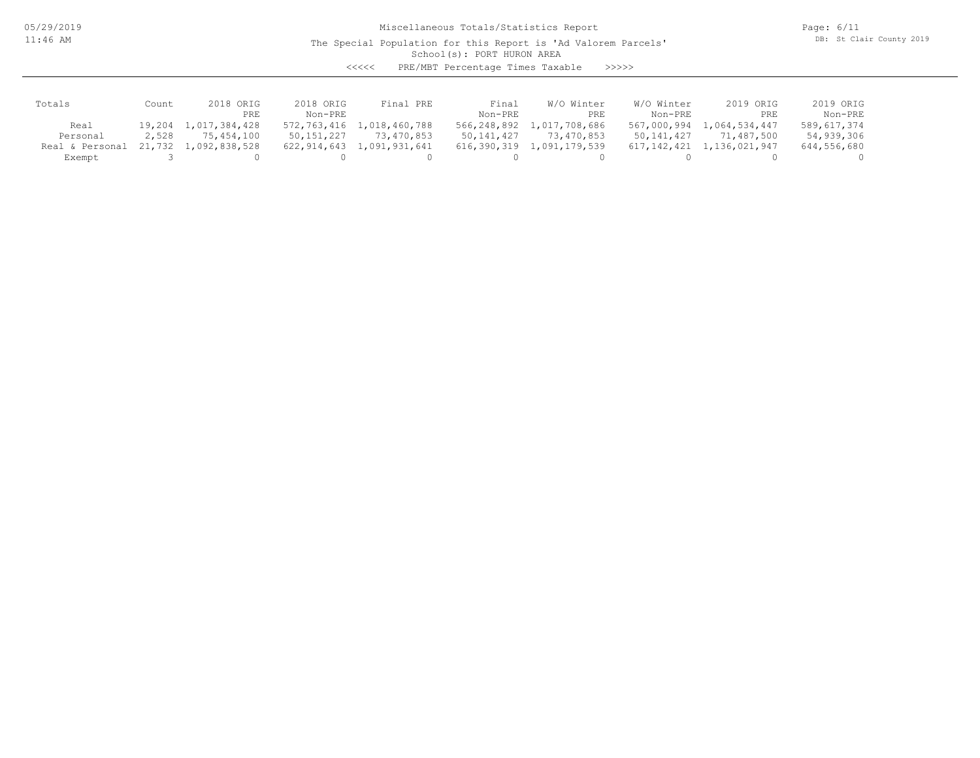05/29/2019 11:46 AM

Miscellaneous Totals/Statistics Report

Page: 6/11 DB: St Clair County 2019

### School(s): PORT HURON AREA The Special Population for this Report is 'Ad Valorem Parcels'

<<<<< PRE/MBT Percentage Times Taxable >>>>>

| Totals          | Count  | ORIG<br>2018         | 2018 ORIG   | Final PRE                 | Final       | W/O Winter    | W/O Winter  | 2019 ORIG     | 2019 ORIG   |
|-----------------|--------|----------------------|-------------|---------------------------|-------------|---------------|-------------|---------------|-------------|
|                 |        | PRE                  | $Non-PRF$   |                           | Non-PRE     | PRE           | Non-PRE     | PRE           | Non-PRE     |
| Real            | 19,204 | 1,017,384,428        |             | 572,763,416 1,018,460,788 | 566,248,892 | 1,017,708,686 | 567,000,994 | 1,064,534,447 | 589,617,374 |
| Personal        | 2,528  | 75,454,100           | 50,151,227  | 73,470,853                | 50,141,427  | 73,470,853    | 50,141,427  | 71,487,500    | 54,939,306  |
| Real & Personal |        | 21,732 1,092,838,528 | 622,914,643 | 8 1,091,931,641           | 616,390,319 | 1,091,179,539 | 617,142,421 | 1,136,021,947 | 644,556,680 |
| Exempt          |        |                      |             |                           |             |               |             |               |             |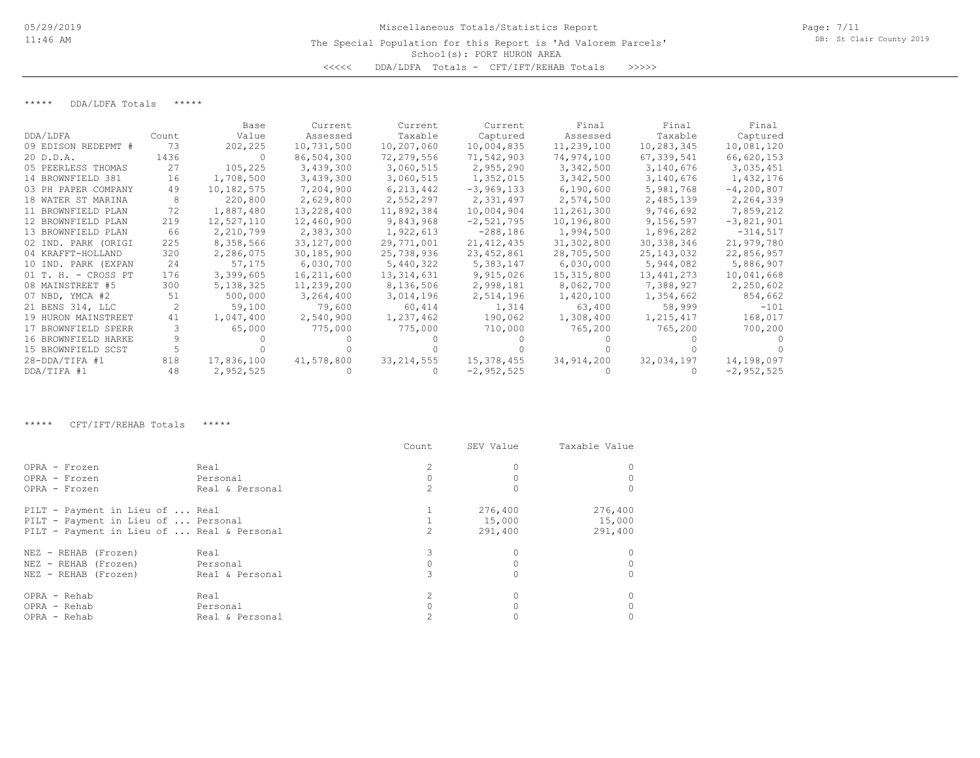## School(s): PORT HURON AREA Miscellaneous Totals/Statistics Report The Special Population for this Report is 'Ad Valorem Parcels' <<<<< DDA/LDFA Totals - CFT/IFT/REHAB Totals >>>>>

\*\*\*\*\* DDA/LDFA Totals \*\*\*\*\*

|                       |       | Base       | Current    | Current      | Current      | Final        | Final        | Final        |
|-----------------------|-------|------------|------------|--------------|--------------|--------------|--------------|--------------|
| DDA/LDFA              | Count | Value      | Assessed   | Taxable      | Captured     | Assessed     | Taxable      | Captured     |
| 09 EDISON REDEPMT #   | 73    | 202,225    | 10,731,500 | 10,207,060   | 10,004,835   | 11,239,100   | 10,283,345   | 10,081,120   |
| 20 D.D.A.             | 1436  | - 0        | 86,504,300 | 72,279,556   | 71,542,903   | 74,974,100   | 67,339,541   | 66,620,153   |
| 05 PEERLESS THOMAS    | 27    | 105,225    | 3,439,300  | 3,060,515    | 2,955,290    | 3,342,500    | 3,140,676    | 3,035,451    |
| 14 BROWNFIELD 381     | 16    | 1,708,500  | 3,439,300  | 3,060,515    | 1,352,015    | 3,342,500    | 3,140,676    | 1,432,176    |
| 03 PH PAPER COMPANY   | 49    | 10,182,575 | 7,204,900  | 6,213,442    | $-3,969,133$ | 6,190,600    | 5,981,768    | $-4,200,807$ |
| 18 WATER ST MARINA    |       | 220,800    | 2,629,800  | 2,552,297    | 2,331,497    | 2,574,500    | 2,485,139    | 2,264,339    |
| 11 BROWNFIELD PLAN    | 72    | 1,887,480  | 13,228,400 | 11,892,384   | 10,004,904   | 11,261,300   | 9,746,692    | 7,859,212    |
| 12 BROWNFIELD PLAN    | 219   | 12,527,110 | 12,460,900 | 9,843,968    | $-2,521,795$ | 10,196,800   | 9,156,597    | $-3,821,901$ |
| 13 BROWNFIELD PLAN    | 66    | 2,210,799  | 2,383,300  | 1,922,613    | $-288,186$   | 1,994,500    | 1,896,282    | $-314,517$   |
| 02 IND. PARK (ORIGI   | 225   | 8,358,566  | 33,127,000 | 29,771,001   | 21, 412, 435 | 31,302,800   | 30,338,346   | 21,979,780   |
| 04 KRAFFT-HOLLAND     | 320   | 2,286,075  | 30,185,900 | 25,738,936   | 23, 452, 861 | 28,705,500   | 25, 143, 032 | 22,856,957   |
| 10 IND. PARK (EXPAN   | 24    | 57,175     | 6,030,700  | 5,440,322    | 5,383,147    | 6,030,000    | 5,944,082    | 5,886,907    |
| $01$ T. H. - CROSS PT | 176   | 3,399,605  | 16,211,600 | 13, 314, 631 | 9,915,026    | 15, 315, 800 | 13,441,273   | 10,041,668   |
| 08 MAINSTREET #5      | 300   | 5,138,325  | 11,239,200 | 8,136,506    | 2,998,181    | 8,062,700    | 7,388,927    | 2,250,602    |
| 07 NBD, YMCA #2       | 51    | 500,000    | 3,264,400  | 3,014,196    | 2,514,196    | 1,420,100    | 1,354,662    | 854,662      |
| 21 BENS 314, LLC      |       | 59,100     | 79,600     | 60,414       | 1,314        | 63,400       | 58,999       | -101         |
| 19 HURON MAINSTREET   | 41    | 1,047,400  | 2,540,900  | 1,237,462    | 190,062      | 1,308,400    | 1,215,417    | 168,017      |
| 17 BROWNFIELD SPERR   |       | 65,000     | 775,000    | 775,000      | 710,000      | 765,200      | 765,200      | 700,200      |
| 16 BROWNFIELD HARKE   |       |            |            |              |              |              |              |              |
| 15 BROWNFIELD SCST    |       |            |            |              |              |              |              |              |
| $28 - DDA/TIFA$ #1    | 818   | 17,836,100 | 41,578,800 | 33, 214, 555 | 15,378,455   | 34,914,200   | 32,034,197   | 14,198,097   |
| DDA/TIFA #1           | 48    | 2,952,525  |            |              | $-2,952,525$ |              |              | $-2,952,525$ |

\*\*\*\*\* CFT/IFT/REHAB Totals \*\*\*\*\*

|                                            |                 | Count | SEV Value | Taxable Value |
|--------------------------------------------|-----------------|-------|-----------|---------------|
| OPRA - Frozen                              | Real            |       |           |               |
| OPRA - Frozen                              | Personal        |       |           |               |
| OPRA - Frozen                              | Real & Personal |       |           |               |
| PILT - Payment in Lieu of  Real            |                 |       | 276,400   | 276,400       |
| PILT - Payment in Lieu of  Personal        |                 |       | 15,000    | 15,000        |
| PILT - Payment in Lieu of  Real & Personal |                 | 2.    | 291,400   | 291,400       |
| NEZ - REHAB (Frozen)                       | Real            |       |           |               |
| NEZ - REHAB (Frozen)                       | Personal        |       |           |               |
| NEZ - REHAB (Frozen)                       | Real & Personal |       |           |               |
| OPRA - Rehab                               | Real            | 2     |           |               |
| OPRA - Rehab                               | Personal        |       |           |               |
| OPRA - Rehab                               | Real & Personal |       |           |               |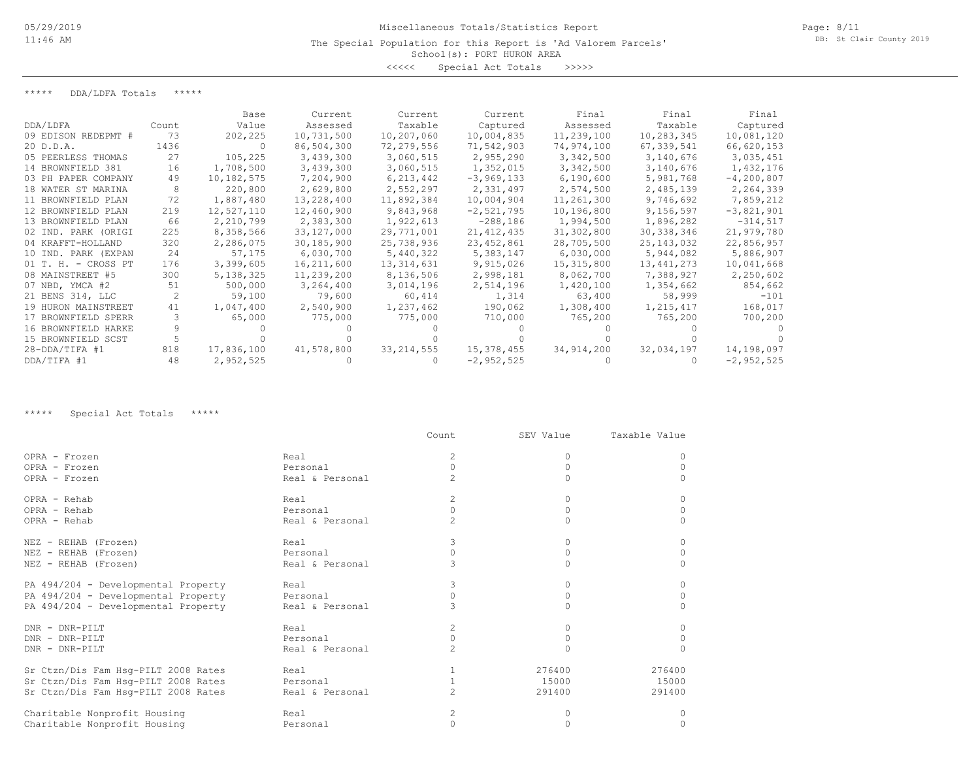School(s): PORT HURON AREA

<<<<< Special Act Totals >>>>>

\*\*\*\*\* DDA/LDFA Totals \*\*\*\*\*

|                     |       | Base       | Current      | Current      | Current      | Final      | Final        | Final        |
|---------------------|-------|------------|--------------|--------------|--------------|------------|--------------|--------------|
| DDA/LDFA            | Count | Value      | Assessed     | Taxable      | Captured     | Assessed   | Taxable      | Captured     |
| 09 EDISON REDEPMT # | 73    | 202,225    | 10,731,500   | 10,207,060   | 10,004,835   | 11,239,100 | 10,283,345   | 10,081,120   |
| 20 D.D.A.           | 1436  | - 0        | 86,504,300   | 72,279,556   | 71,542,903   | 74,974,100 | 67,339,541   | 66,620,153   |
| 05 PEERLESS THOMAS  | 27    | 105,225    | 3,439,300    | 3,060,515    | 2,955,290    | 3,342,500  | 3,140,676    | 3,035,451    |
| 14 BROWNFIELD 381   | 16    | 1,708,500  | 3,439,300    | 3,060,515    | 1,352,015    | 3,342,500  | 3,140,676    | 1,432,176    |
| 03 PH PAPER COMPANY | 49    | 10,182,575 | 7,204,900    | 6,213,442    | $-3,969,133$ | 6,190,600  | 5,981,768    | $-4,200,807$ |
| 18 WATER ST MARINA  |       | 220,800    | 2,629,800    | 2,552,297    | 2,331,497    | 2,574,500  | 2,485,139    | 2,264,339    |
| 11 BROWNFIELD PLAN  | 72    | 1,887,480  | 13,228,400   | 11,892,384   | 10,004,904   | 11,261,300 | 9,746,692    | 7,859,212    |
| 12 BROWNFIELD PLAN  | 219   | 12,527,110 | 12,460,900   | 9,843,968    | $-2,521,795$ | 10,196,800 | 9,156,597    | $-3,821,901$ |
| 13 BROWNFIELD PLAN  | 66    | 2,210,799  | 2,383,300    | 1,922,613    | $-288,186$   | 1,994,500  | 1,896,282    | $-314,517$   |
| 02 IND. PARK (ORIGI | 225   | 8,358,566  | 33,127,000   | 29,771,001   | 21, 412, 435 | 31,302,800 | 30, 338, 346 | 21,979,780   |
| 04 KRAFFT-HOLLAND   | 320   | 2,286,075  | 30, 185, 900 | 25,738,936   | 23, 452, 861 | 28,705,500 | 25, 143, 032 | 22,856,957   |
| 10 IND. PARK (EXPAN | 24    | 57,175     | 6,030,700    | 5,440,322    | 5,383,147    | 6,030,000  | 5,944,082    | 5,886,907    |
| 01 T. H. - CROSS PT | 176   | 3,399,605  | 16,211,600   | 13,314,631   | 9,915,026    | 15,315,800 | 13,441,273   | 10,041,668   |
| 08 MAINSTREET #5    | 300   | 5,138,325  | 11,239,200   | 8,136,506    | 2,998,181    | 8,062,700  | 7,388,927    | 2,250,602    |
| 07 NBD, YMCA #2     | 51    | 500,000    | 3,264,400    | 3,014,196    | 2,514,196    | 1,420,100  | 1,354,662    | 854,662      |
| 21 BENS 314, LLC    |       | 59,100     | 79,600       | 60,414       | 1,314        | 63,400     | 58,999       | $-101$       |
| 19 HURON MAINSTREET | 41    | 1,047,400  | 2,540,900    | 1,237,462    | 190,062      | 1,308,400  | 1,215,417    | 168,017      |
| 17 BROWNFIELD SPERR |       | 65,000     | 775,000      | 775,000      | 710,000      | 765,200    | 765,200      | 700,200      |
| 16 BROWNFIELD HARKE |       |            |              |              |              |            |              |              |
| 15 BROWNFIELD SCST  |       |            |              |              |              |            |              |              |
| $28 - DDA/TIFA$ #1  | 818   | 17,836,100 | 41,578,800   | 33, 214, 555 | 15,378,455   | 34,914,200 | 32,034,197   | 14,198,097   |
| DDA/TIFA #1         | 48    | 2,952,525  |              |              | $-2,952,525$ |            |              | $-2,952,525$ |

\*\*\*\*\* Special Act Totals \*\*\*\*\*

|                                     |                 | Count          | SEV Value    | Taxable Value |
|-------------------------------------|-----------------|----------------|--------------|---------------|
| OPRA - Frozen                       | Real            | 2              | $\Omega$     | $\Omega$      |
| OPRA - Frozen                       | Personal        | $\Omega$       |              | $\circ$       |
| OPRA - Frozen                       | Real & Personal | $\mathcal{L}$  |              | $\Omega$      |
| OPRA - Rehab                        | Real            | $\overline{c}$ | $\Omega$     | $\circ$       |
| OPRA - Rehab                        | Personal        | $\Omega$       |              | $\circ$       |
| OPRA - Rehab                        | Real & Personal | 2              | $\Omega$     | $\Omega$      |
| NEZ - REHAB (Frozen)                | Real            | 3              | $\Omega$     | $\Omega$      |
| NEZ - REHAB (Frozen)                | Personal        | $\bigcap$      | $\Omega$     | $\circ$       |
| NEZ - REHAB (Frozen)                | Real & Personal |                |              | $\circ$       |
| PA 494/204 - Developmental Property | Real            | 3              | $\Omega$     | $\Omega$      |
| PA 494/204 - Developmental Property | Personal        |                | $\mathbf{0}$ | 0             |
| PA 494/204 - Developmental Property | Real & Personal |                |              | $\Omega$      |
| DNR - DNR-PILT                      | Real            | $\overline{2}$ | $\Omega$     | $\circ$       |
| DNR - DNR-PILT                      | Personal        | $\Omega$       | $\Omega$     | $\Omega$      |
| DNR - DNR-PILT                      | Real & Personal |                |              | $\Omega$      |
| Sr Ctzn/Dis Fam Hsq-PILT 2008 Rates | Real            |                | 276400       | 276400        |
| Sr Ctzn/Dis Fam Hsq-PILT 2008 Rates | Personal        |                | 15000        | 15000         |
| Sr Ctzn/Dis Fam Hsq-PILT 2008 Rates | Real & Personal | $\overline{c}$ | 291400       | 291400        |
| Charitable Nonprofit Housing        | Real            | 2              | $\Omega$     | $\Omega$      |
| Charitable Nonprofit Housing        | Personal        | $\Omega$       | $\Omega$     | $\Omega$      |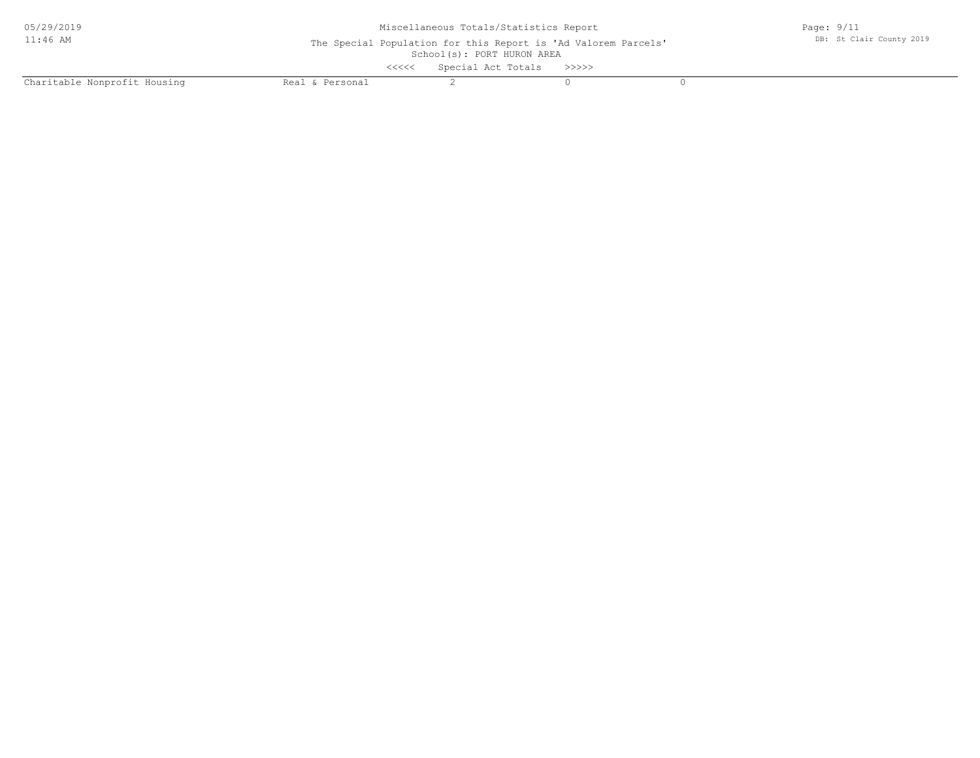| 05/29/2019                   | Miscellaneous Totals/Statistics Report                                                       |                           |  |  | Page: $9/11$             |  |  |
|------------------------------|----------------------------------------------------------------------------------------------|---------------------------|--|--|--------------------------|--|--|
| $11:46$ AM                   | The Special Population for this Report is 'Ad Valorem Parcels'<br>School(s): PORT HURON AREA |                           |  |  | DB: St Clair County 2019 |  |  |
|                              | <<<<                                                                                         | Special Act Totals >>>>>> |  |  |                          |  |  |
| Charitable Nonprofit Housing | Real & Personal                                                                              |                           |  |  |                          |  |  |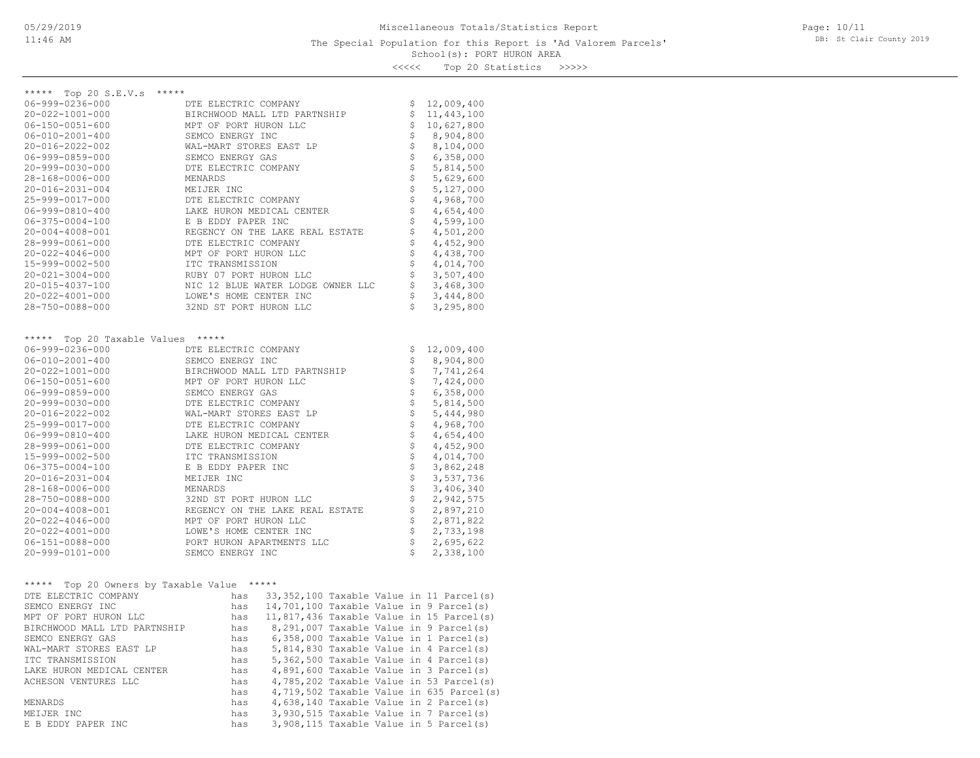### School(s): PORT HURON AREA The Special Population for this Report is 'Ad Valorem Parcels'

Page: 10/11 DB: St Clair County 2019

<<<<< Top 20 Statistics >>>>>

| ***** Top 20 S.E.V.s *****                                         |                                                                                                                                                                                                                                                              |                                                                                  |                                     |                                          |
|--------------------------------------------------------------------|--------------------------------------------------------------------------------------------------------------------------------------------------------------------------------------------------------------------------------------------------------------|----------------------------------------------------------------------------------|-------------------------------------|------------------------------------------|
| 06-999-0236-000                                                    | DTE ELECTRIC COMPANY                                                                                                                                                                                                                                         |                                                                                  |                                     | \$12,009,400                             |
| 20-022-1001-000                                                    | EJ CONTANI<br>BIRCHWOOD MALL LTD PARTNSHIP<br>MPT OF POPT UIDAN                                                                                                                                                                                              |                                                                                  | $\mathsf{S}$                        | 11,443,100                               |
| $06 - 150 - 0051 - 600$                                            | MPT OF PORT HURON LLC<br>SEMCO ENERGY INC                                                                                                                                                                                                                    |                                                                                  |                                     | \$10,627,800                             |
| 06-010-2001-400                                                    |                                                                                                                                                                                                                                                              |                                                                                  | \$                                  | 8,904,800                                |
| 20-016-2022-002                                                    |                                                                                                                                                                                                                                                              |                                                                                  | $\boldsymbol{\mathsf{S}}$           | 8,104,000                                |
| 06-999-0859-000                                                    |                                                                                                                                                                                                                                                              |                                                                                  | \$                                  | 6,358,000                                |
| 20-999-0030-000                                                    |                                                                                                                                                                                                                                                              |                                                                                  | $\ddot{\varsigma}$                  | 5,814,500                                |
| 28-168-0006-000                                                    |                                                                                                                                                                                                                                                              |                                                                                  | \$<br>\$                            | 5,629,600                                |
| 20-016-2031-004                                                    | MPT OF PORT HURON LLC<br>SEMCO ENERGY INC<br>WAL-MART STORES EAST LP<br>SEMCO ENERGY GAS<br>DTE ELECTRIC COMPANY<br>MENARDS<br>MEIJER INC<br>DTE ELECTRIC COMPANY<br>LAKE HURON MEDICAL CENTER<br>LAKE HURON MEDICAL CENTER<br>R R RDDN PAPER INC            |                                                                                  |                                     | 5,127,000                                |
| 25-999-0017-000                                                    |                                                                                                                                                                                                                                                              |                                                                                  |                                     | 4,968,700                                |
| $06 - 999 - 0810 - 400$                                            |                                                                                                                                                                                                                                                              |                                                                                  | \$                                  | 4,654,400                                |
| $06 - 375 - 0004 - 100$<br>$20 - 004 - 4008 - 001$                 | E B EDDY PAPER INC                                                                                                                                                                                                                                           |                                                                                  | $\boldsymbol{\mathsf{S}}$<br>\$     | 4,599,100<br>4,501,200                   |
|                                                                    |                                                                                                                                                                                                                                                              |                                                                                  | $\boldsymbol{\mathsf{S}}$           |                                          |
| 28-999-0061-000<br>$20 - 022 - 4046 - 000$                         |                                                                                                                                                                                                                                                              |                                                                                  | \$                                  | 4,452,900                                |
|                                                                    |                                                                                                                                                                                                                                                              |                                                                                  | $\uplus$                            | 4,438,700                                |
| 15-999-0002-500                                                    |                                                                                                                                                                                                                                                              |                                                                                  | \$                                  | 4,014,700                                |
| $20 - 021 - 3004 - 000$                                            |                                                                                                                                                                                                                                                              |                                                                                  | \$                                  | 3,507,400                                |
| 20-015-4037-100                                                    |                                                                                                                                                                                                                                                              |                                                                                  |                                     | 3,468,300                                |
| $20 - 022 - 4001 - 000$                                            |                                                                                                                                                                                                                                                              |                                                                                  | \$<br>\$                            | 3,444,800                                |
| 28-750-0088-000                                                    |                                                                                                                                                                                                                                                              |                                                                                  |                                     | 3,295,800                                |
|                                                                    | KELLE BLECTRIL<br>MPT OF PORT HURON LELLE<br>TTC TRANSMISSION<br>RUBY 07 PORT HURON LLC<br>NIC 12 BLUE WATER LODGE OWNER LLC<br>LOWE'S HOME CENTER INC<br>32ND ST PORT HURON LLC                                                                             |                                                                                  |                                     |                                          |
| ***** Top 20 Taxable Values *****                                  |                                                                                                                                                                                                                                                              |                                                                                  |                                     |                                          |
| $06 - 999 - 0236 - 000$                                            | DTE ELECTRIC COMPANY<br>SEMCO ENERGY INC                                                                                                                                                                                                                     |                                                                                  | \$                                  | 12,009,400                               |
| $06 - 010 - 2001 - 400$                                            |                                                                                                                                                                                                                                                              |                                                                                  | \$                                  | 8,904,800                                |
| 20-022-1001-000                                                    | BIRCHWOOD MALL LTD PARTNSHIP                                                                                                                                                                                                                                 |                                                                                  | $\mathop{\rm S}\nolimits$           | 7,741,264                                |
| $06 - 150 - 0051 - 600$                                            |                                                                                                                                                                                                                                                              |                                                                                  | $\boldsymbol{\mathsf{S}}$           | 7,424,000                                |
| 06-999-0859-000                                                    |                                                                                                                                                                                                                                                              |                                                                                  | $\boldsymbol{\mathsf{S}}$           | 6,358,000                                |
| 20-999-0030-000                                                    |                                                                                                                                                                                                                                                              |                                                                                  | $\boldsymbol{\mathsf{S}}$           | 5,814,500                                |
| 20-016-2022-002                                                    | SEMCO ENERGY INC<br>BIRCHWOOD MALL LTD PARTNSHIP<br>MPT OF PORT HURON LLC<br>SEMCO ENERGY GAS<br>TE ELECTRIC COMPANY<br>WAL-MART STORES EAST LP<br>DTE ELECTRIC COMPANY<br>LAKE HURON MEDICAL CENTER<br>DTE ELECTRIC COMPANY<br>ITC TRANSMISSION<br>ITC FRAN |                                                                                  |                                     | 5,444,980                                |
| 25-999-0017-000                                                    |                                                                                                                                                                                                                                                              |                                                                                  | $\frac{1}{2}$<br>$\dot{\mathsf{s}}$ | 4,968,700                                |
| $06 - 999 - 0810 - 400$                                            |                                                                                                                                                                                                                                                              |                                                                                  |                                     | 4,654,400                                |
| 28-999-0061-000                                                    |                                                                                                                                                                                                                                                              |                                                                                  |                                     | 4,452,900                                |
| 15-999-0002-500                                                    |                                                                                                                                                                                                                                                              |                                                                                  |                                     | 4,014,700                                |
| $06 - 375 - 0004 - 100$                                            | E B EDDY PAPER INC                                                                                                                                                                                                                                           |                                                                                  |                                     | 3,862,248                                |
| $20 - 016 - 2031 - 004$                                            | MEIJER INC                                                                                                                                                                                                                                                   |                                                                                  |                                     | 3,537,736                                |
| 28-168-0006-000                                                    | MENARDS                                                                                                                                                                                                                                                      |                                                                                  |                                     | 3,406,340                                |
| 28-750-0088-000                                                    | 32ND ST PORT HURON LLC                                                                                                                                                                                                                                       |                                                                                  |                                     | 2,942,575                                |
| 20-004-4008-001                                                    | REGENCY ON THE LAKE REAL ESTATE                                                                                                                                                                                                                              |                                                                                  |                                     | 2,897,210                                |
| 20-022-4046-000<br>20-022-4001-000                                 | MPT OF PORT HURON LLC<br>LOWE'S HOME CENTER INC<br>MPT OF PORT HURON LLC                                                                                                                                                                                     |                                                                                  |                                     | 2,871,822<br>2,733,198                   |
| 06-151-0088-000                                                    |                                                                                                                                                                                                                                                              |                                                                                  |                                     | $\uparrow$<br>2,695,622                  |
| 20-999-0101-000                                                    | PORT HURON APARTMENTS LLC<br>SEMCO ENERGY INC                                                                                                                                                                                                                |                                                                                  |                                     | 2,338,100                                |
|                                                                    |                                                                                                                                                                                                                                                              |                                                                                  | Ŝ.                                  |                                          |
|                                                                    |                                                                                                                                                                                                                                                              |                                                                                  |                                     |                                          |
| ***** Top 20 Owners by Taxable Value *****<br>DTE ELECTRIC COMPANY | has 33,352,100 Taxable Value in 11 Parcel(s)                                                                                                                                                                                                                 |                                                                                  |                                     |                                          |
| SEMCO ENERGY INC                                                   | has                                                                                                                                                                                                                                                          |                                                                                  |                                     |                                          |
| MPT OF PORT HURON LLC                                              | has 11,817,436 Taxable Value in 15 Parcel(s)                                                                                                                                                                                                                 | 14,701,100 Taxable Value in 9 Parcel(s)                                          |                                     |                                          |
|                                                                    | has                                                                                                                                                                                                                                                          |                                                                                  |                                     |                                          |
| BIRCHWOOD MALL LTD PARTNSHIP<br>SEMCO ENERGY GAS                   | has                                                                                                                                                                                                                                                          | 8,291,007 Taxable Value in 9 Parcel(s)<br>6,358,000 Taxable Value in 1 Parcel(s) |                                     |                                          |
| WAL-MART STORES EAST LP                                            | has                                                                                                                                                                                                                                                          | 5,814,830 Taxable Value in 4 Parcel(s)                                           |                                     |                                          |
| ITC TRANSMISSION                                                   | has                                                                                                                                                                                                                                                          | 5,362,500 Taxable Value in 4 Parcel(s)                                           |                                     |                                          |
| LAKE HURON MEDICAL CENTER                                          | has                                                                                                                                                                                                                                                          | 4,891,600 Taxable Value in 3 Parcel(s)                                           |                                     |                                          |
| ACHESON VENTURES LLC                                               | has                                                                                                                                                                                                                                                          | 4,785,202 Taxable Value in 53 Parcel(s)                                          |                                     |                                          |
|                                                                    | has                                                                                                                                                                                                                                                          |                                                                                  |                                     | 4,719,502 Taxable Value in 635 Parcel(s) |
| MENARDS                                                            | has                                                                                                                                                                                                                                                          | 4,638,140 Taxable Value in 2 Parcel(s)                                           |                                     |                                          |
| MEIJER INC                                                         | has                                                                                                                                                                                                                                                          | 3,930,515 Taxable Value in 7 Parcel(s)                                           |                                     |                                          |
| E B EDDY PAPER INC                                                 | has                                                                                                                                                                                                                                                          | 3,908,115 Taxable Value in 5 Parcel(s)                                           |                                     |                                          |
|                                                                    |                                                                                                                                                                                                                                                              |                                                                                  |                                     |                                          |